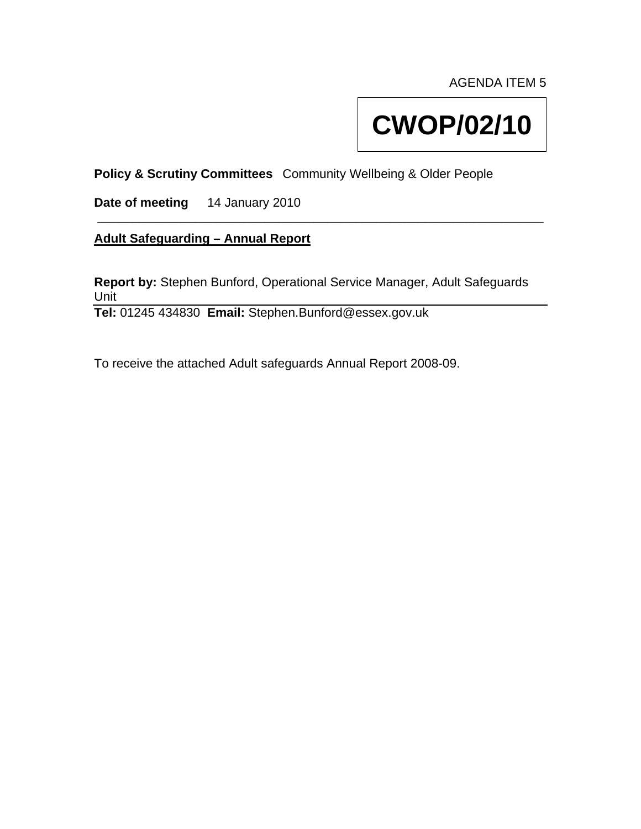AGENDA ITEM 5

# **CWOP/02/10**

**Policy & Scrutiny Committees** Community Wellbeing & Older People

**Date of meeting** 14 January 2010

#### **Adult Safeguarding – Annual Report**

**Report by:** Stephen Bunford, Operational Service Manager, Adult Safeguards Unit

**\_\_\_\_\_\_\_\_\_\_\_\_\_\_\_\_\_\_\_\_\_\_\_\_\_\_\_\_\_\_\_\_\_\_\_\_\_\_\_\_\_\_\_\_\_\_\_\_\_\_\_\_\_\_\_\_\_\_\_\_\_\_\_\_** 

**Tel:** 01245 434830 **Email:** Stephen.Bunford@essex.gov.uk

To receive the attached Adult safeguards Annual Report 2008-09.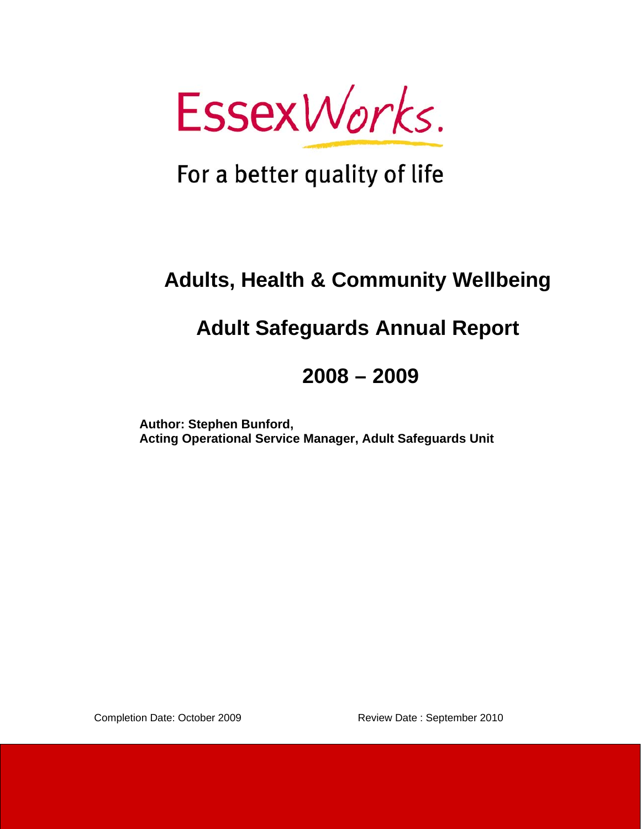EssexWorks.

## For a better quality of life

## **Adults, Health & Community Wellbeing**

## **Adult Safeguards Annual Report**

## **2008 – 2009**

**Author: Stephen Bunford, Acting Operational Service Manager, Adult Safeguards Unit** 

Completion Date: October 2009 Review Date : September 2010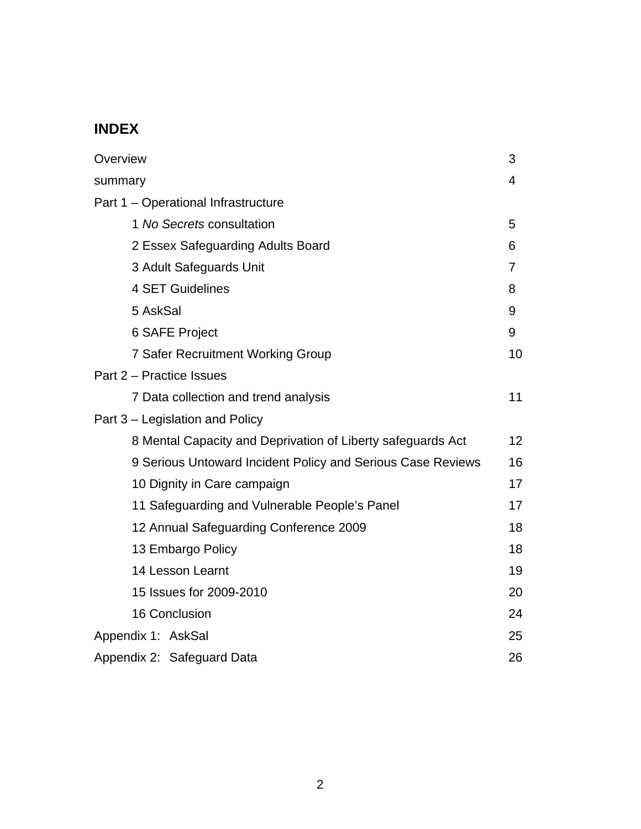## **INDEX**

| Overview                                                    | 3  |
|-------------------------------------------------------------|----|
| summary                                                     | 4  |
| Part 1 - Operational Infrastructure                         |    |
| 1 No Secrets consultation                                   | 5  |
| 2 Essex Safeguarding Adults Board                           | 6  |
| 3 Adult Safeguards Unit                                     | 7  |
| <b>4 SET Guidelines</b>                                     | 8  |
| 5 AskSal                                                    | 9  |
| 6 SAFE Project                                              | 9  |
| 7 Safer Recruitment Working Group                           | 10 |
| Part 2 - Practice Issues                                    |    |
| 7 Data collection and trend analysis                        | 11 |
| Part 3 – Legislation and Policy                             |    |
| 8 Mental Capacity and Deprivation of Liberty safeguards Act | 12 |
| 9 Serious Untoward Incident Policy and Serious Case Reviews | 16 |
| 10 Dignity in Care campaign                                 | 17 |
| 11 Safeguarding and Vulnerable People's Panel               | 17 |
| 12 Annual Safeguarding Conference 2009                      | 18 |
| 13 Embargo Policy                                           | 18 |
| 14 Lesson Learnt                                            | 19 |
| 15 Issues for 2009-2010                                     | 20 |
| 16 Conclusion                                               | 24 |
| Appendix 1: AskSal                                          | 25 |
| Appendix 2: Safeguard Data                                  | 26 |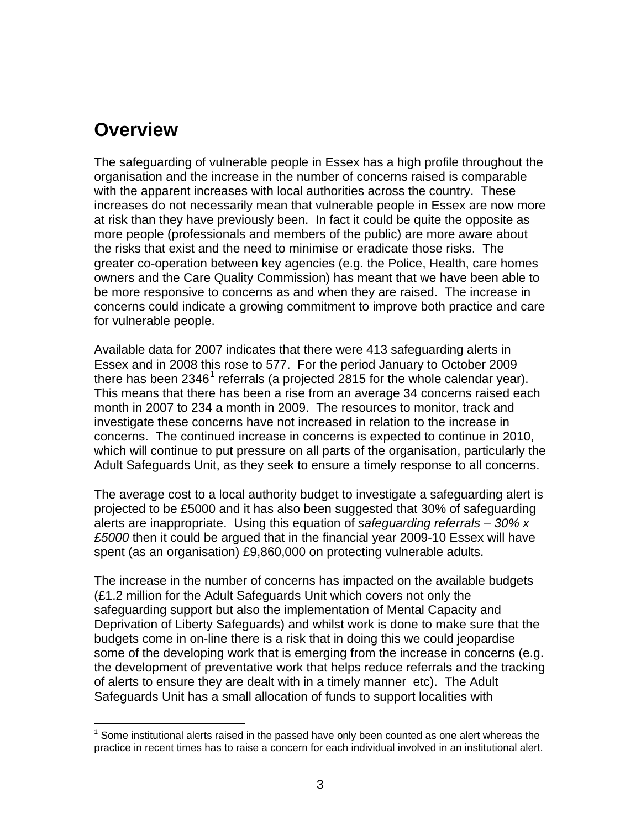## **Overview**

 $\overline{a}$ 

The safeguarding of vulnerable people in Essex has a high profile throughout the organisation and the increase in the number of concerns raised is comparable with the apparent increases with local authorities across the country. These increases do not necessarily mean that vulnerable people in Essex are now more at risk than they have previously been. In fact it could be quite the opposite as more people (professionals and members of the public) are more aware about the risks that exist and the need to minimise or eradicate those risks. The greater co-operation between key agencies (e.g. the Police, Health, care homes owners and the Care Quality Commission) has meant that we have been able to be more responsive to concerns as and when they are raised. The increase in concerns could indicate a growing commitment to improve both practice and care for vulnerable people.

Available data for 2007 indicates that there were 413 safeguarding alerts in Essex and in 2008 this rose to 577. For the period January to October 2009 there has been 2346<sup>[1](#page-3-0)</sup> referrals (a projected 2815 for the whole calendar year). This means that there has been a rise from an average 34 concerns raised each month in 2007 to 234 a month in 2009. The resources to monitor, track and investigate these concerns have not increased in relation to the increase in concerns. The continued increase in concerns is expected to continue in 2010, which will continue to put pressure on all parts of the organisation, particularly the Adult Safeguards Unit, as they seek to ensure a timely response to all concerns.

The average cost to a local authority budget to investigate a safeguarding alert is projected to be £5000 and it has also been suggested that 30% of safeguarding alerts are inappropriate. Using this equation of *safeguarding referrals – 30% x £5000* then it could be argued that in the financial year 2009-10 Essex will have spent (as an organisation) £9,860,000 on protecting vulnerable adults.

The increase in the number of concerns has impacted on the available budgets (£1.2 million for the Adult Safeguards Unit which covers not only the safeguarding support but also the implementation of Mental Capacity and Deprivation of Liberty Safeguards) and whilst work is done to make sure that the budgets come in on-line there is a risk that in doing this we could jeopardise some of the developing work that is emerging from the increase in concerns (e.g. the development of preventative work that helps reduce referrals and the tracking of alerts to ensure they are dealt with in a timely manner etc). The Adult Safeguards Unit has a small allocation of funds to support localities with

<span id="page-3-0"></span> $1$  Some institutional alerts raised in the passed have only been counted as one alert whereas the practice in recent times has to raise a concern for each individual involved in an institutional alert.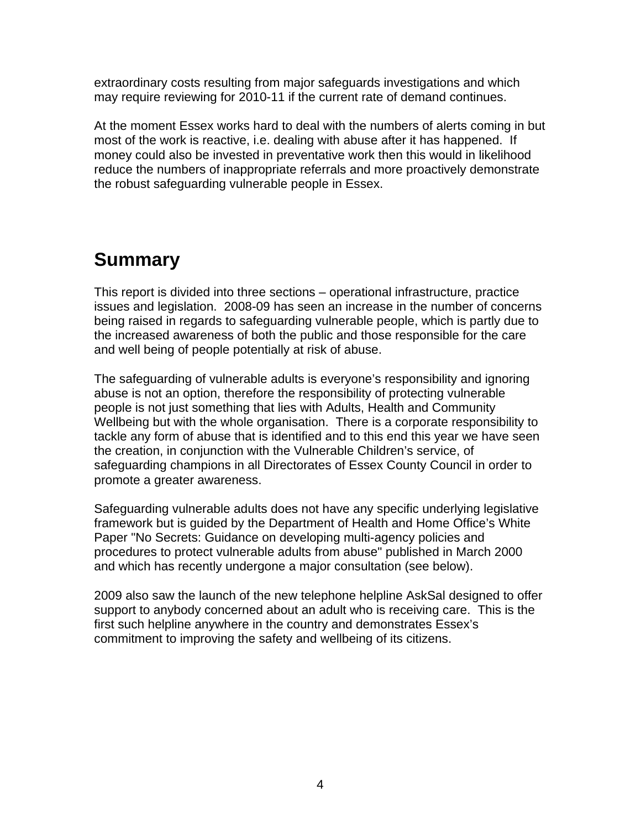extraordinary costs resulting from major safeguards investigations and which may require reviewing for 2010-11 if the current rate of demand continues.

At the moment Essex works hard to deal with the numbers of alerts coming in but most of the work is reactive, i.e. dealing with abuse after it has happened. If money could also be invested in preventative work then this would in likelihood reduce the numbers of inappropriate referrals and more proactively demonstrate the robust safeguarding vulnerable people in Essex.

## **Summary**

This report is divided into three sections – operational infrastructure, practice issues and legislation. 2008-09 has seen an increase in the number of concerns being raised in regards to safeguarding vulnerable people, which is partly due to the increased awareness of both the public and those responsible for the care and well being of people potentially at risk of abuse.

The safeguarding of vulnerable adults is everyone's responsibility and ignoring abuse is not an option, therefore the responsibility of protecting vulnerable people is not just something that lies with Adults, Health and Community Wellbeing but with the whole organisation. There is a corporate responsibility to tackle any form of abuse that is identified and to this end this year we have seen the creation, in conjunction with the Vulnerable Children's service, of safeguarding champions in all Directorates of Essex County Council in order to promote a greater awareness.

Safeguarding vulnerable adults does not have any specific underlying legislative framework but is guided by the Department of Health and Home Office's White Paper "No Secrets: Guidance on developing multi-agency policies and procedures to protect vulnerable adults from abuse" published in March 2000 and which has recently undergone a major consultation (see below).

2009 also saw the launch of the new telephone helpline AskSal designed to offer support to anybody concerned about an adult who is receiving care. This is the first such helpline anywhere in the country and demonstrates Essex's commitment to improving the safety and wellbeing of its citizens.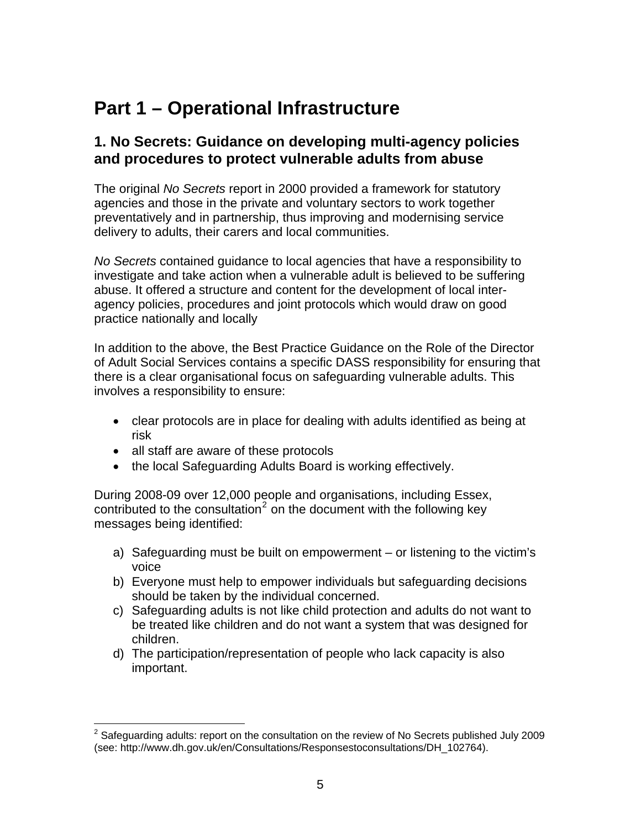## <span id="page-5-0"></span>**Part 1 – Operational Infrastructure**

#### **1. No Secrets: Guidance on developing multi-agency policies and procedures to protect vulnerable adults from abuse**

The original *No Secrets* report in 2000 provided a framework for statutory agencies and those in the private and voluntary sectors to work together preventatively and in partnership, thus improving and modernising service delivery to adults, their carers and local communities.

*No Secrets* contained guidance to local agencies that have a responsibility to investigate and take action when a vulnerable adult is believed to be suffering abuse. It offered a structure and content for the development of local interagency policies, procedures and joint protocols which would draw on good practice nationally and locally

In addition to the above, the Best Practice Guidance on the Role of the Director of Adult Social Services contains a specific DASS responsibility for ensuring that there is a clear organisational focus on safeguarding vulnerable adults. This involves a responsibility to ensure:

- clear protocols are in place for dealing with adults identified as being at risk
- all staff are aware of these protocols
- the local Safeguarding Adults Board is working effectively.

During 2008-09 over 12,000 people and organisations, including Essex, contributed to the consultation<sup>[2](#page-5-0)</sup> on the document with the following key messages being identified:

- a) Safeguarding must be built on empowerment or listening to the victim's voice
- b) Everyone must help to empower individuals but safeguarding decisions should be taken by the individual concerned.
- c) Safeguarding adults is not like child protection and adults do not want to be treated like children and do not want a system that was designed for children.
- d) The participation/representation of people who lack capacity is also important.

 2 Safeguarding adults: report on the consultation on the review of No Secrets published July 2009 (see: [http://www.dh.gov.uk/en/Consultations/Responsestoconsultations/DH\\_102764\)](http://www.dh.gov.uk/en/Consultations/Responsestoconsultations/DH_102764).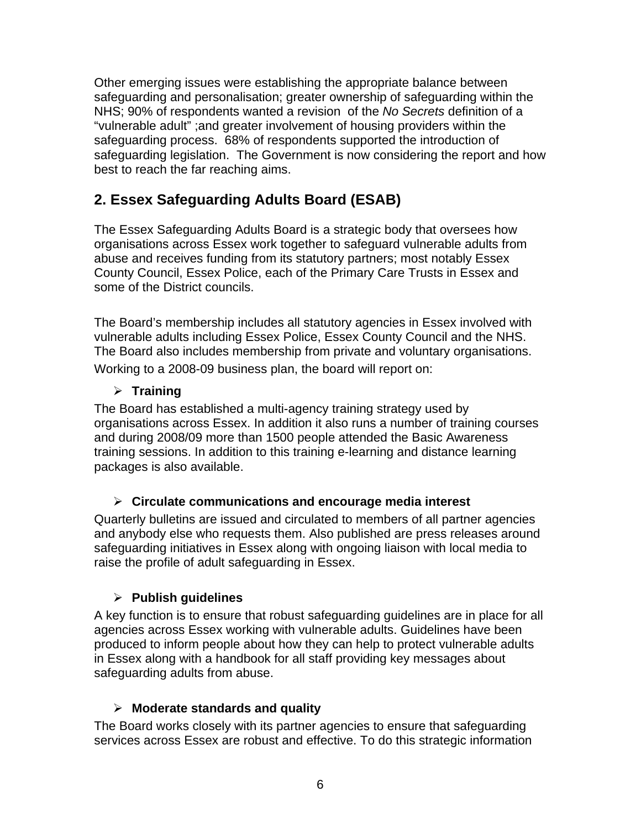Other emerging issues were establishing the appropriate balance between safeguarding and personalisation; greater ownership of safeguarding within the NHS; 90% of respondents wanted a revision of the *No Secrets* definition of a "vulnerable adult" ;and greater involvement of housing providers within the safeguarding process. 68% of respondents supported the introduction of safeguarding legislation. The Government is now considering the report and how best to reach the far reaching aims.

## **2. Essex Safeguarding Adults Board (ESAB)**

The Essex Safeguarding Adults Board is a strategic body that oversees how organisations across Essex work together to safeguard vulnerable adults from abuse and receives funding from its statutory partners; most notably Essex County Council, Essex Police, each of the Primary Care Trusts in Essex and some of the District councils.

The Board's membership includes all statutory agencies in Essex involved with vulnerable adults including Essex Police, Essex County Council and the NHS. The Board also includes membership from private and voluntary organisations. Working to a 2008-09 business plan, the board will report on:

#### ¾ **Training**

The Board has established a multi-agency training strategy used by organisations across Essex. In addition it also runs a number of training courses and during 2008/09 more than 1500 people attended the Basic Awareness training sessions. In addition to this training e-learning and distance learning packages is also available.

#### ¾ **Circulate communications and encourage media interest**

Quarterly bulletins are issued and circulated to members of all partner agencies and anybody else who requests them. Also published are press releases around safeguarding initiatives in Essex along with ongoing liaison with local media to raise the profile of adult safeguarding in Essex.

#### ¾ **Publish guidelines**

A key function is to ensure that robust safeguarding guidelines are in place for all agencies across Essex working with vulnerable adults. Guidelines have been produced to inform people about how they can help to protect vulnerable adults in Essex along with a handbook for all staff providing key messages about safeguarding adults from abuse.

#### ¾ **Moderate standards and quality**

The Board works closely with its partner agencies to ensure that safeguarding services across Essex are robust and effective. To do this strategic information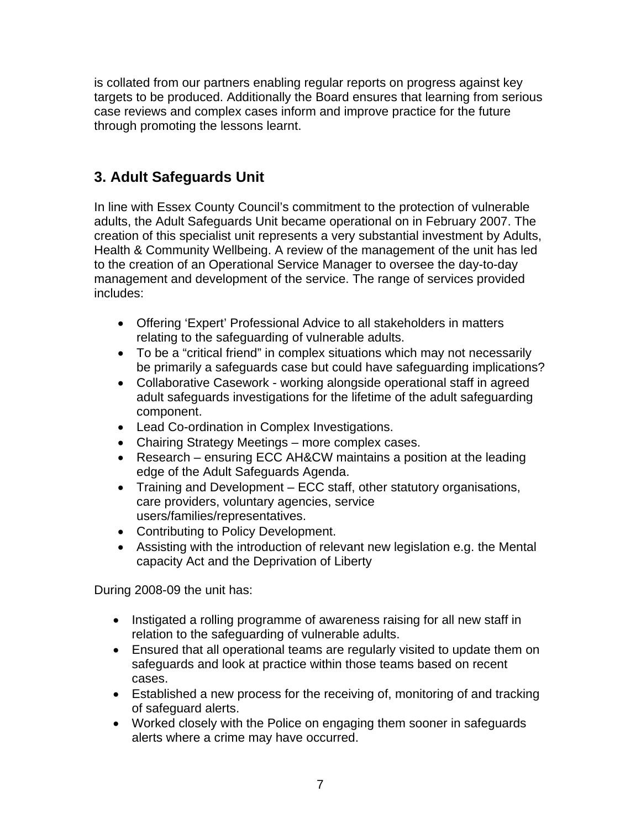is collated from our partners enabling regular reports on progress against key targets to be produced. Additionally the Board ensures that learning from serious case reviews and complex cases inform and improve practice for the future through promoting the lessons learnt.

## **3. Adult Safeguards Unit**

In line with Essex County Council's commitment to the protection of vulnerable adults, the Adult Safeguards Unit became operational on in February 2007. The creation of this specialist unit represents a very substantial investment by Adults, Health & Community Wellbeing. A review of the management of the unit has led to the creation of an Operational Service Manager to oversee the day-to-day management and development of the service. The range of services provided includes:

- Offering 'Expert' Professional Advice to all stakeholders in matters relating to the safeguarding of vulnerable adults.
- To be a "critical friend" in complex situations which may not necessarily be primarily a safeguards case but could have safeguarding implications?
- Collaborative Casework working alongside operational staff in agreed adult safeguards investigations for the lifetime of the adult safeguarding component.
- Lead Co-ordination in Complex Investigations.
- Chairing Strategy Meetings more complex cases.
- Research ensuring ECC AH&CW maintains a position at the leading edge of the Adult Safeguards Agenda.
- Training and Development ECC staff, other statutory organisations, care providers, voluntary agencies, service users/families/representatives.
- Contributing to Policy Development.
- Assisting with the introduction of relevant new legislation e.g. the Mental capacity Act and the Deprivation of Liberty

During 2008-09 the unit has:

- Instigated a rolling programme of awareness raising for all new staff in relation to the safeguarding of vulnerable adults.
- Ensured that all operational teams are regularly visited to update them on safeguards and look at practice within those teams based on recent cases.
- Established a new process for the receiving of, monitoring of and tracking of safeguard alerts.
- Worked closely with the Police on engaging them sooner in safeguards alerts where a crime may have occurred.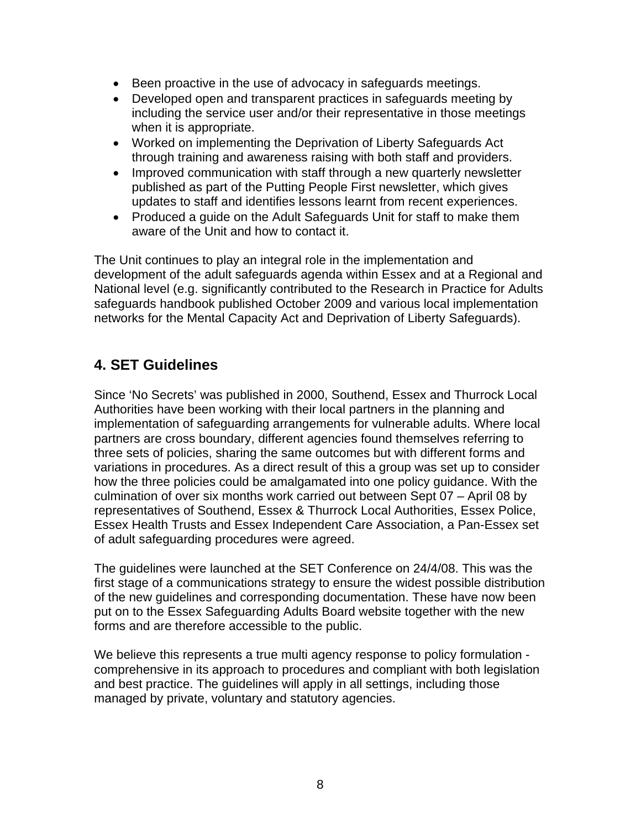- Been proactive in the use of advocacy in safeguards meetings.
- Developed open and transparent practices in safeguards meeting by including the service user and/or their representative in those meetings when it is appropriate.
- Worked on implementing the Deprivation of Liberty Safeguards Act through training and awareness raising with both staff and providers.
- Improved communication with staff through a new quarterly newsletter published as part of the Putting People First newsletter, which gives updates to staff and identifies lessons learnt from recent experiences.
- Produced a guide on the Adult Safeguards Unit for staff to make them aware of the Unit and how to contact it.

The Unit continues to play an integral role in the implementation and development of the adult safeguards agenda within Essex and at a Regional and National level (e.g. significantly contributed to the Research in Practice for Adults safeguards handbook published October 2009 and various local implementation networks for the Mental Capacity Act and Deprivation of Liberty Safeguards).

## **4. SET Guidelines**

Since 'No Secrets' was published in 2000, Southend, Essex and Thurrock Local Authorities have been working with their local partners in the planning and implementation of safeguarding arrangements for vulnerable adults. Where local partners are cross boundary, different agencies found themselves referring to three sets of policies, sharing the same outcomes but with different forms and variations in procedures. As a direct result of this a group was set up to consider how the three policies could be amalgamated into one policy guidance. With the culmination of over six months work carried out between Sept 07 – April 08 by representatives of Southend, Essex & Thurrock Local Authorities, Essex Police, Essex Health Trusts and Essex Independent Care Association, a Pan-Essex set of adult safeguarding procedures were agreed.

The guidelines were launched at the SET Conference on 24/4/08. This was the first stage of a communications strategy to ensure the widest possible distribution of the new guidelines and corresponding documentation. These have now been put on to the Essex Safeguarding Adults Board website together with the new forms and are therefore accessible to the public.

We believe this represents a true multi agency response to policy formulation comprehensive in its approach to procedures and compliant with both legislation and best practice. The guidelines will apply in all settings, including those managed by private, voluntary and statutory agencies.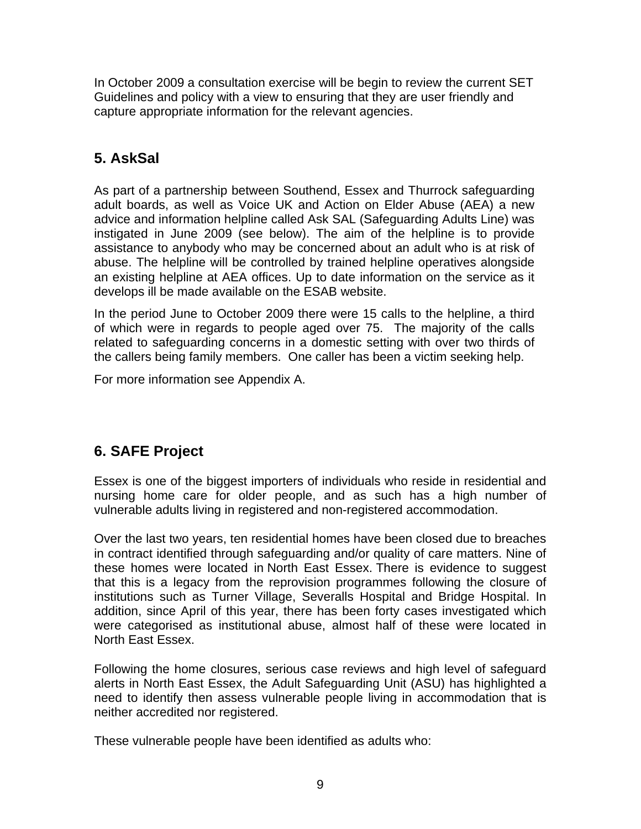In October 2009 a consultation exercise will be begin to review the current SET Guidelines and policy with a view to ensuring that they are user friendly and capture appropriate information for the relevant agencies.

## **5. AskSal**

As part of a partnership between Southend, Essex and Thurrock safeguarding adult boards, as well as Voice UK and Action on Elder Abuse (AEA) a new advice and information helpline called Ask SAL (Safeguarding Adults Line) was instigated in June 2009 (see below). The aim of the helpline is to provide assistance to anybody who may be concerned about an adult who is at risk of abuse. The helpline will be controlled by trained helpline operatives alongside an existing helpline at AEA offices. Up to date information on the service as it develops ill be made available on the ESAB website.

In the period June to October 2009 there were 15 calls to the helpline, a third of which were in regards to people aged over 75. The majority of the calls related to safeguarding concerns in a domestic setting with over two thirds of the callers being family members. One caller has been a victim seeking help.

For more information see Appendix A.

## **6. SAFE Project**

Essex is one of the biggest importers of individuals who reside in residential and nursing home care for older people, and as such has a high number of vulnerable adults living in registered and non-registered accommodation.

Over the last two years, ten residential homes have been closed due to breaches in contract identified through safeguarding and/or quality of care matters. Nine of these homes were located in North East Essex. There is evidence to suggest that this is a legacy from the reprovision programmes following the closure of institutions such as Turner Village, Severalls Hospital and Bridge Hospital. In addition, since April of this year, there has been forty cases investigated which were categorised as institutional abuse, almost half of these were located in North East Essex.

Following the home closures, serious case reviews and high level of safeguard alerts in North East Essex, the Adult Safeguarding Unit (ASU) has highlighted a need to identify then assess vulnerable people living in accommodation that is neither accredited nor registered.

These vulnerable people have been identified as adults who: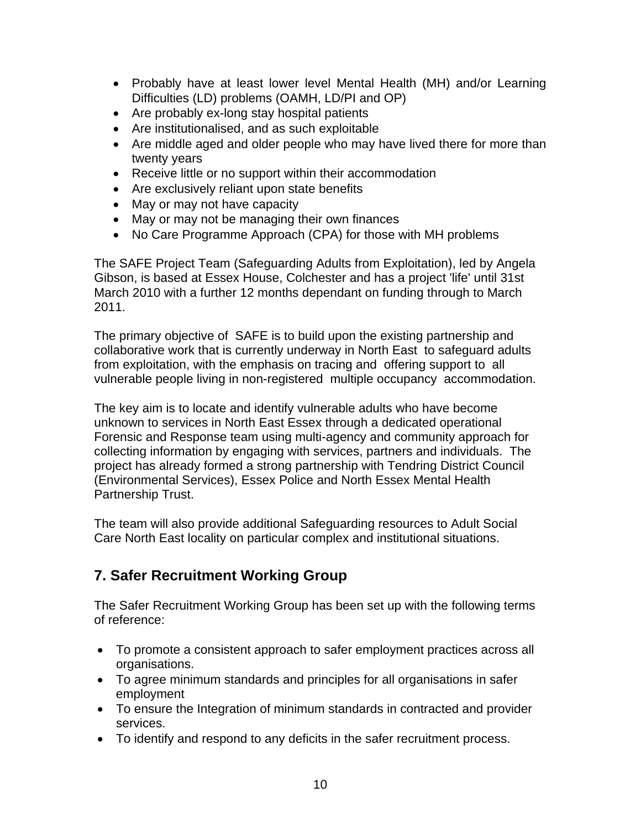- Probably have at least lower level Mental Health (MH) and/or Learning Difficulties (LD) problems (OAMH, LD/PI and OP)
- Are probably ex-long stay hospital patients
- Are institutionalised, and as such exploitable
- Are middle aged and older people who may have lived there for more than twenty years
- Receive little or no support within their accommodation
- Are exclusively reliant upon state benefits
- May or may not have capacity
- May or may not be managing their own finances
- No Care Programme Approach (CPA) for those with MH problems

The SAFE Project Team (Safeguarding Adults from Exploitation), led by Angela Gibson, is based at Essex House, Colchester and has a project 'life' until 31st March 2010 with a further 12 months dependant on funding through to March 2011.

The primary objective of SAFE is to build upon the existing partnership and collaborative work that is currently underway in North East to safeguard adults from exploitation, with the emphasis on tracing and offering support to all vulnerable people living in non-registered multiple occupancy accommodation.

The key aim is to locate and identify vulnerable adults who have become unknown to services in North East Essex through a dedicated operational Forensic and Response team using multi-agency and community approach for collecting information by engaging with services, partners and individuals. The project has already formed a strong partnership with Tendring District Council (Environmental Services), Essex Police and North Essex Mental Health Partnership Trust.

The team will also provide additional Safeguarding resources to Adult Social Care North East locality on particular complex and institutional situations.

## **7. Safer Recruitment Working Group**

The Safer Recruitment Working Group has been set up with the following terms of reference:

- To promote a consistent approach to safer employment practices across all organisations.
- To agree minimum standards and principles for all organisations in safer employment
- To ensure the Integration of minimum standards in contracted and provider services.
- To identify and respond to any deficits in the safer recruitment process.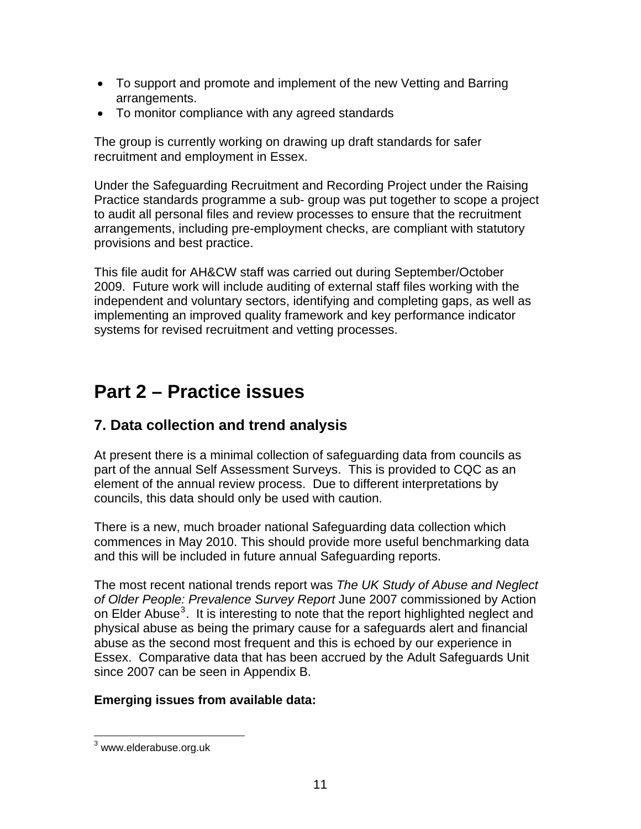- <span id="page-11-0"></span>• To support and promote and implement of the new Vetting and Barring arrangements.
- To monitor compliance with any agreed standards

The group is currently working on drawing up draft standards for safer recruitment and employment in Essex.

Under the Safeguarding Recruitment and Recording Project under the Raising Practice standards programme a sub- group was put together to scope a project to audit all personal files and review processes to ensure that the recruitment arrangements, including pre-employment checks, are compliant with statutory provisions and best practice.

This file audit for AH&CW staff was carried out during September/October 2009. Future work will include auditing of external staff files working with the independent and voluntary sectors, identifying and completing gaps, as well as implementing an improved quality framework and key performance indicator systems for revised recruitment and vetting processes.

## **Part 2 – Practice issues**

## **7. Data collection and trend analysis**

At present there is a minimal collection of safeguarding data from councils as part of the annual Self Assessment Surveys. This is provided to CQC as an element of the annual review process. Due to different interpretations by councils, this data should only be used with caution.

There is a new, much broader national Safeguarding data collection which commences in May 2010. This should provide more useful benchmarking data and this will be included in future annual Safeguarding reports.

The most recent national trends report was *The UK Study of Abuse and Neglect of Older People: Prevalence Survey Report* June 2007 commissioned by Action on Elder Abuse<sup>[3](#page-11-0)</sup>. It is interesting to note that the report highlighted neglect and physical abuse as being the primary cause for a safeguards alert and financial abuse as the second most frequent and this is echoed by our experience in Essex. Comparative data that has been accrued by the Adult Safeguards Unit since 2007 can be seen in Appendix B.

#### **Emerging issues from available data:**

 3 www.elderabuse.org.uk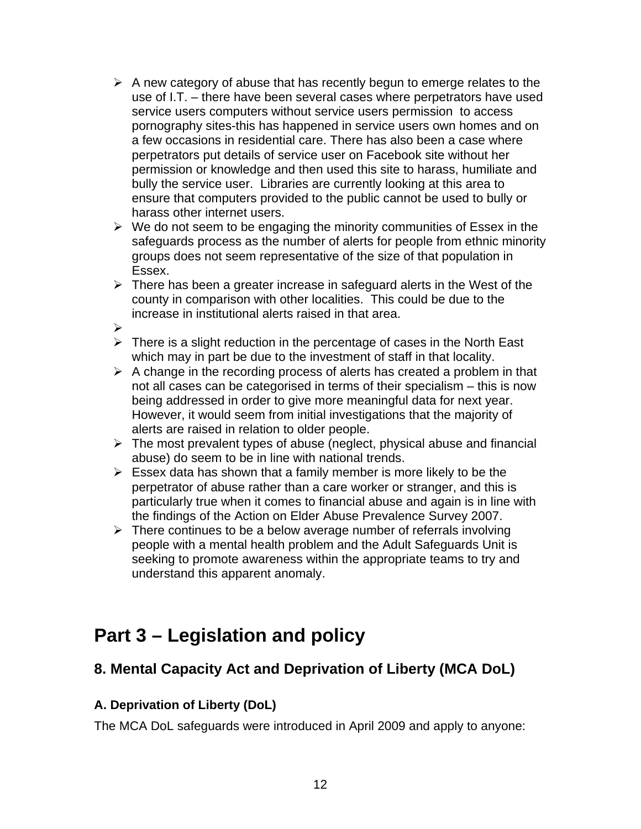- $\triangleright$  A new category of abuse that has recently begun to emerge relates to the use of I.T. – there have been several cases where perpetrators have used service users computers without service users permission to access pornography sites-this has happened in service users own homes and on a few occasions in residential care. There has also been a case where perpetrators put details of service user on Facebook site without her permission or knowledge and then used this site to harass, humiliate and bully the service user. Libraries are currently looking at this area to ensure that computers provided to the public cannot be used to bully or harass other internet users.
- $\triangleright$  We do not seem to be engaging the minority communities of Essex in the safeguards process as the number of alerts for people from ethnic minority groups does not seem representative of the size of that population in Essex.
- $\triangleright$  There has been a greater increase in safeguard alerts in the West of the county in comparison with other localities. This could be due to the increase in institutional alerts raised in that area.
- ¾
- $\triangleright$  There is a slight reduction in the percentage of cases in the North East which may in part be due to the investment of staff in that locality.
- $\triangleright$  A change in the recording process of alerts has created a problem in that not all cases can be categorised in terms of their specialism – this is now being addressed in order to give more meaningful data for next year. However, it would seem from initial investigations that the majority of alerts are raised in relation to older people.
- $\triangleright$  The most prevalent types of abuse (neglect, physical abuse and financial abuse) do seem to be in line with national trends.
- $\triangleright$  Essex data has shown that a family member is more likely to be the perpetrator of abuse rather than a care worker or stranger, and this is particularly true when it comes to financial abuse and again is in line with the findings of the Action on Elder Abuse Prevalence Survey 2007.
- $\triangleright$  There continues to be a below average number of referrals involving people with a mental health problem and the Adult Safeguards Unit is seeking to promote awareness within the appropriate teams to try and understand this apparent anomaly.

## **Part 3 – Legislation and policy**

## **8. Mental Capacity Act and Deprivation of Liberty (MCA DoL)**

#### **A. Deprivation of Liberty (DoL)**

The MCA DoL safeguards were introduced in April 2009 and apply to anyone: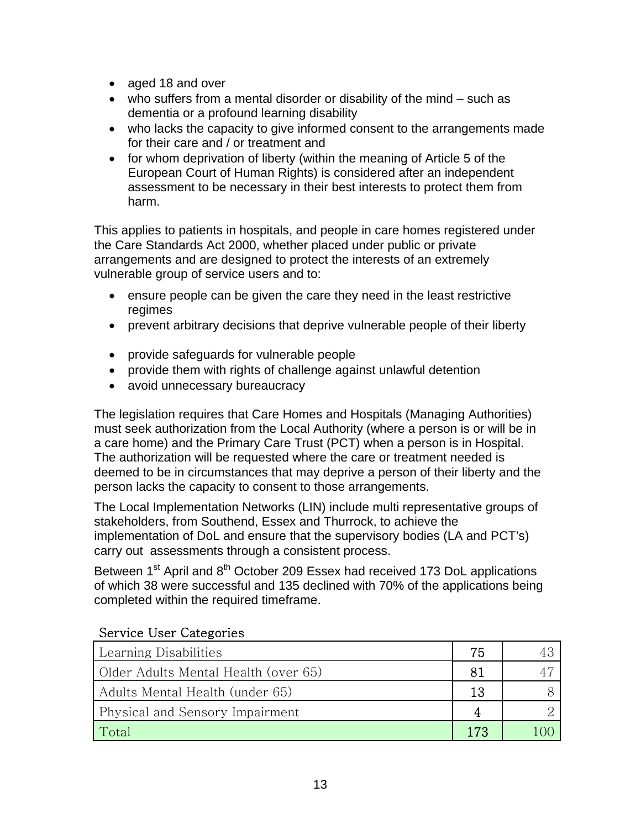- aged 18 and over
- who suffers from a mental disorder or disability of the mind such as dementia or a profound learning disability
- who lacks the capacity to give informed consent to the arrangements made for their care and / or treatment and
- for whom deprivation of liberty (within the meaning of Article 5 of the European Court of Human Rights) is considered after an independent assessment to be necessary in their best interests to protect them from harm.

This applies to patients in hospitals, and people in care homes registered under the Care Standards Act 2000, whether placed under public or private arrangements and are designed to protect the interests of an extremely vulnerable group of service users and to:

- ensure people can be given the care they need in the least restrictive regimes
- prevent arbitrary decisions that deprive vulnerable people of their liberty
- provide safeguards for vulnerable people
- provide them with rights of challenge against unlawful detention
- avoid unnecessary bureaucracy

The legislation requires that Care Homes and Hospitals (Managing Authorities) must seek authorization from the Local Authority (where a person is or will be in a care home) and the Primary Care Trust (PCT) when a person is in Hospital. The authorization will be requested where the care or treatment needed is deemed to be in circumstances that may deprive a person of their liberty and the person lacks the capacity to consent to those arrangements.

The Local Implementation Networks (LIN) include multi representative groups of stakeholders, from Southend, Essex and Thurrock, to achieve the implementation of DoL and ensure that the supervisory bodies (LA and PCT's) carry out assessments through a consistent process.

Between 1<sup>st</sup> April and 8<sup>th</sup> October 209 Essex had received 173 DoL applications of which 38 were successful and 135 declined with 70% of the applications being completed within the required timeframe.

| Learning Disabilities                | 75  |  |
|--------------------------------------|-----|--|
| Older Adults Mental Health (over 65) | 81  |  |
| Adults Mental Health (under 65)      | 13  |  |
| Physical and Sensory Impairment      |     |  |
| Total                                | 173 |  |

#### Service User Categories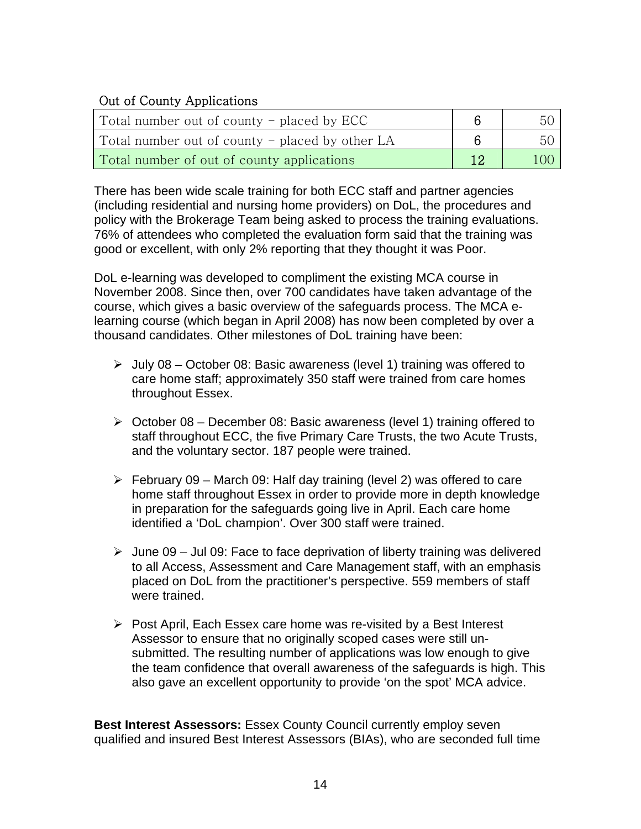#### Out of County Applications

| Total number out of county - placed by ECC      |  |
|-------------------------------------------------|--|
| Total number out of county - placed by other LA |  |
| Total number of out of county applications      |  |

There has been wide scale training for both ECC staff and partner agencies (including residential and nursing home providers) on DoL, the procedures and policy with the Brokerage Team being asked to process the training evaluations. 76% of attendees who completed the evaluation form said that the training was good or excellent, with only 2% reporting that they thought it was Poor.

DoL e-learning was developed to compliment the existing MCA course in November 2008. Since then, over 700 candidates have taken advantage of the course, which gives a basic overview of the safeguards process. The MCA elearning course (which began in April 2008) has now been completed by over a thousand candidates. Other milestones of DoL training have been:

- $\triangleright$  July 08 October 08: Basic awareness (level 1) training was offered to care home staff; approximately 350 staff were trained from care homes throughout Essex.
- $\triangleright$  October 08 December 08: Basic awareness (level 1) training offered to staff throughout ECC, the five Primary Care Trusts, the two Acute Trusts, and the voluntary sector. 187 people were trained.
- $\triangleright$  February 09 March 09: Half day training (level 2) was offered to care home staff throughout Essex in order to provide more in depth knowledge in preparation for the safeguards going live in April. Each care home identified a 'DoL champion'. Over 300 staff were trained.
- $\triangleright$  June 09 Jul 09: Face to face deprivation of liberty training was delivered to all Access, Assessment and Care Management staff, with an emphasis placed on DoL from the practitioner's perspective. 559 members of staff were trained.
- $\triangleright$  Post April, Each Essex care home was re-visited by a Best Interest Assessor to ensure that no originally scoped cases were still unsubmitted. The resulting number of applications was low enough to give the team confidence that overall awareness of the safeguards is high. This also gave an excellent opportunity to provide 'on the spot' MCA advice.

**Best Interest Assessors:** Essex County Council currently employ seven qualified and insured Best Interest Assessors (BIAs), who are seconded full time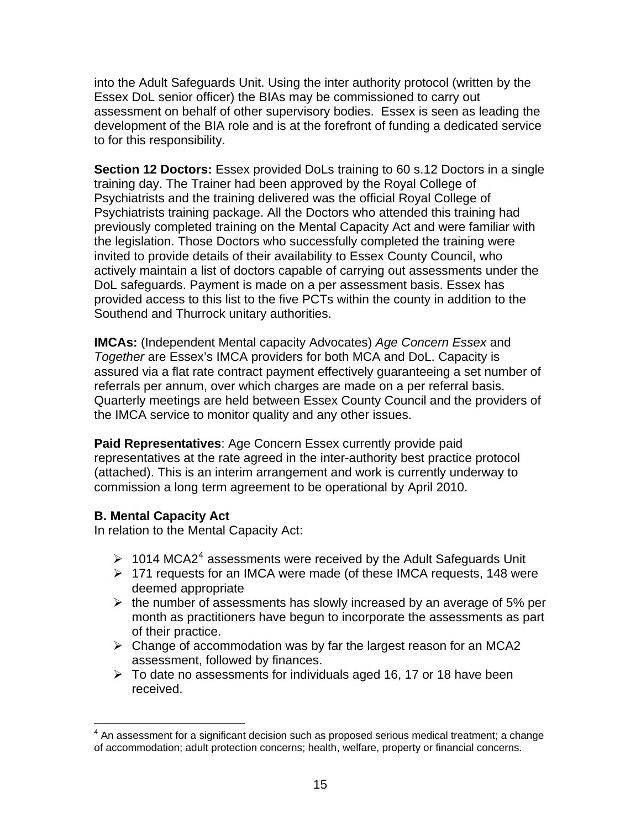<span id="page-15-0"></span>into the Adult Safeguards Unit. Using the inter authority protocol (written by the Essex DoL senior officer) the BIAs may be commissioned to carry out assessment on behalf of other supervisory bodies. Essex is seen as leading the development of the BIA role and is at the forefront of funding a dedicated service to for this responsibility.

**Section 12 Doctors:** Essex provided DoLs training to 60 s.12 Doctors in a single training day. The Trainer had been approved by the Royal College of Psychiatrists and the training delivered was the official Royal College of Psychiatrists training package. All the Doctors who attended this training had previously completed training on the Mental Capacity Act and were familiar with the legislation. Those Doctors who successfully completed the training were invited to provide details of their availability to Essex County Council, who actively maintain a list of doctors capable of carrying out assessments under the DoL safeguards. Payment is made on a per assessment basis. Essex has provided access to this list to the five PCTs within the county in addition to the Southend and Thurrock unitary authorities.

**IMCAs:** (Independent Mental capacity Advocates) *Age Concern Essex* and *Together* are Essex's IMCA providers for both MCA and DoL. Capacity is assured via a flat rate contract payment effectively guaranteeing a set number of referrals per annum, over which charges are made on a per referral basis. Quarterly meetings are held between Essex County Council and the providers of the IMCA service to monitor quality and any other issues.

**Paid Representatives**: Age Concern Essex currently provide paid representatives at the rate agreed in the inter-authority best practice protocol (attached). This is an interim arrangement and work is currently underway to commission a long term agreement to be operational by April 2010.

#### **B. Mental Capacity Act**

In relation to the Mental Capacity Act:

- $\geq 1014 \text{ MCA2}^4$  $\geq 1014 \text{ MCA2}^4$  $\geq 1014 \text{ MCA2}^4$  assessments were received by the Adult Safeguards Unit
- $\geq$  171 requests for an IMCA were made (of these IMCA requests, 148 were deemed appropriate
- $\triangleright$  the number of assessments has slowly increased by an average of 5% per month as practitioners have begun to incorporate the assessments as part of their practice.
- $\triangleright$  Change of accommodation was by far the largest reason for an MCA2 assessment, followed by finances.
- $\triangleright$  To date no assessments for individuals aged 16, 17 or 18 have been received.

 4 An assessment for a significant decision such as proposed serious medical treatment; a change of accommodation; adult protection concerns; health, welfare, property or financial concerns.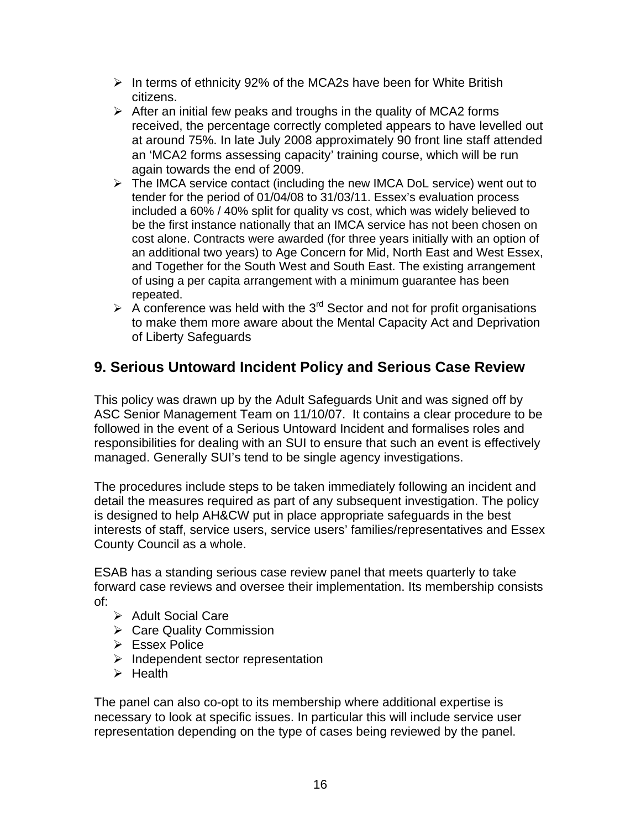- $\triangleright$  In terms of ethnicity 92% of the MCA2s have been for White British citizens.
- $\triangleright$  After an initial few peaks and troughs in the quality of MCA2 forms received, the percentage correctly completed appears to have levelled out at around 75%. In late July 2008 approximately 90 front line staff attended an 'MCA2 forms assessing capacity' training course, which will be run again towards the end of 2009.
- ¾ The IMCA service contact (including the new IMCA DoL service) went out to tender for the period of 01/04/08 to 31/03/11. Essex's evaluation process included a 60% / 40% split for quality vs cost, which was widely believed to be the first instance nationally that an IMCA service has not been chosen on cost alone. Contracts were awarded (for three years initially with an option of an additional two years) to Age Concern for Mid, North East and West Essex, and Together for the South West and South East. The existing arrangement of using a per capita arrangement with a minimum guarantee has been repeated.
- $\triangleright$  A conference was held with the 3<sup>rd</sup> Sector and not for profit organisations to make them more aware about the Mental Capacity Act and Deprivation of Liberty Safeguards

## **9. Serious Untoward Incident Policy and Serious Case Review**

This policy was drawn up by the Adult Safeguards Unit and was signed off by ASC Senior Management Team on 11/10/07. It contains a clear procedure to be followed in the event of a Serious Untoward Incident and formalises roles and responsibilities for dealing with an SUI to ensure that such an event is effectively managed. Generally SUI's tend to be single agency investigations.

The procedures include steps to be taken immediately following an incident and detail the measures required as part of any subsequent investigation. The policy is designed to help AH&CW put in place appropriate safeguards in the best interests of staff, service users, service users' families/representatives and Essex County Council as a whole.

ESAB has a standing serious case review panel that meets quarterly to take forward case reviews and oversee their implementation. Its membership consists of:

- ¾ Adult Social Care
- **≻** Care Quality Commission
- $\triangleright$  Essex Police
- $\blacktriangleright$  Independent sector representation
- $\triangleright$  Health

The panel can also co-opt to its membership where additional expertise is necessary to look at specific issues. In particular this will include service user representation depending on the type of cases being reviewed by the panel.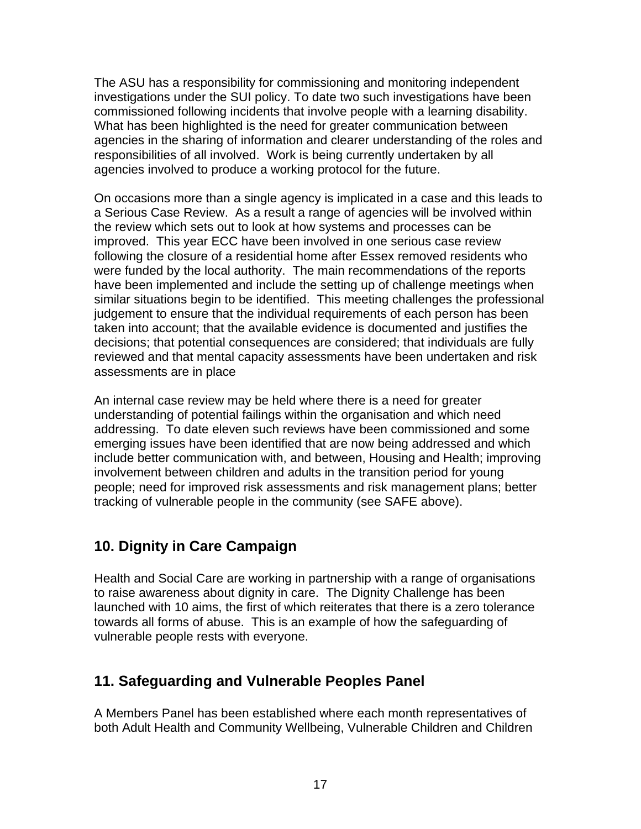The ASU has a responsibility for commissioning and monitoring independent investigations under the SUI policy. To date two such investigations have been commissioned following incidents that involve people with a learning disability. What has been highlighted is the need for greater communication between agencies in the sharing of information and clearer understanding of the roles and responsibilities of all involved. Work is being currently undertaken by all agencies involved to produce a working protocol for the future.

On occasions more than a single agency is implicated in a case and this leads to a Serious Case Review. As a result a range of agencies will be involved within the review which sets out to look at how systems and processes can be improved. This year ECC have been involved in one serious case review following the closure of a residential home after Essex removed residents who were funded by the local authority. The main recommendations of the reports have been implemented and include the setting up of challenge meetings when similar situations begin to be identified. This meeting challenges the professional judgement to ensure that the individual requirements of each person has been taken into account; that the available evidence is documented and justifies the decisions; that potential consequences are considered; that individuals are fully reviewed and that mental capacity assessments have been undertaken and risk assessments are in place

An internal case review may be held where there is a need for greater understanding of potential failings within the organisation and which need addressing. To date eleven such reviews have been commissioned and some emerging issues have been identified that are now being addressed and which include better communication with, and between, Housing and Health; improving involvement between children and adults in the transition period for young people; need for improved risk assessments and risk management plans; better tracking of vulnerable people in the community (see SAFE above).

### **10. Dignity in Care Campaign**

Health and Social Care are working in partnership with a range of organisations to raise awareness about dignity in care. The Dignity Challenge has been launched with 10 aims, the first of which reiterates that there is a zero tolerance towards all forms of abuse. This is an example of how the safeguarding of vulnerable people rests with everyone.

### **11. Safeguarding and Vulnerable Peoples Panel**

A Members Panel has been established where each month representatives of both Adult Health and Community Wellbeing, Vulnerable Children and Children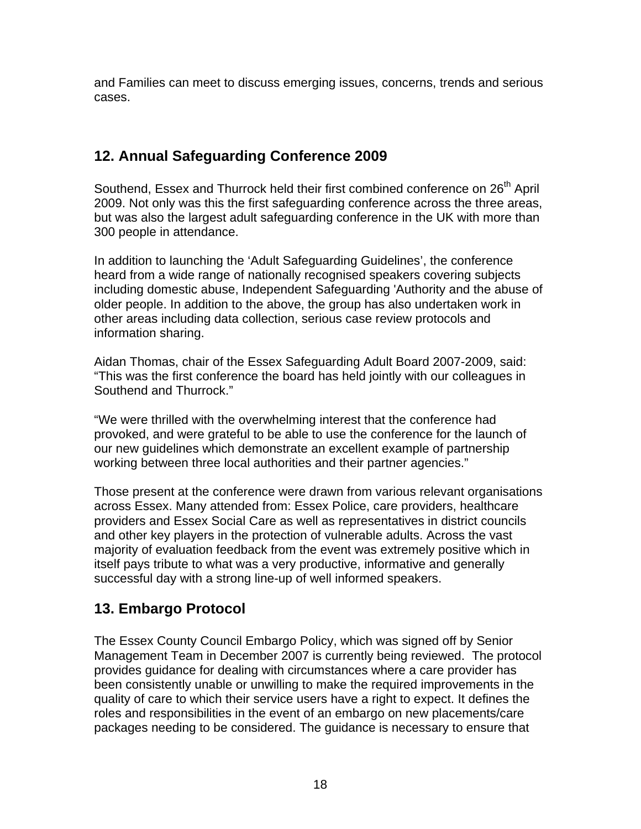and Families can meet to discuss emerging issues, concerns, trends and serious cases.

## **12. Annual Safeguarding Conference 2009**

Southend, Essex and Thurrock held their first combined conference on 26<sup>th</sup> April 2009. Not only was this the first safeguarding conference across the three areas, but was also the largest adult safeguarding conference in the UK with more than 300 people in attendance.

In addition to launching the 'Adult Safeguarding Guidelines', the conference heard from a wide range of nationally recognised speakers covering subjects including domestic abuse, Independent Safeguarding 'Authority and the abuse of older people. In addition to the above, the group has also undertaken work in other areas including data collection, serious case review protocols and information sharing.

Aidan Thomas, chair of the Essex Safeguarding Adult Board 2007-2009, said: "This was the first conference the board has held jointly with our colleagues in Southend and Thurrock."

"We were thrilled with the overwhelming interest that the conference had provoked, and were grateful to be able to use the conference for the launch of our new guidelines which demonstrate an excellent example of partnership working between three local authorities and their partner agencies."

Those present at the conference were drawn from various relevant organisations across Essex. Many attended from: Essex Police, care providers, healthcare providers and Essex Social Care as well as representatives in district councils and other key players in the protection of vulnerable adults. Across the vast majority of evaluation feedback from the event was extremely positive which in itself pays tribute to what was a very productive, informative and generally successful day with a strong line-up of well informed speakers.

## **13. Embargo Protocol**

The Essex County Council Embargo Policy, which was signed off by Senior Management Team in December 2007 is currently being reviewed. The protocol provides guidance for dealing with circumstances where a care provider has been consistently unable or unwilling to make the required improvements in the quality of care to which their service users have a right to expect. It defines the roles and responsibilities in the event of an embargo on new placements/care packages needing to be considered. The guidance is necessary to ensure that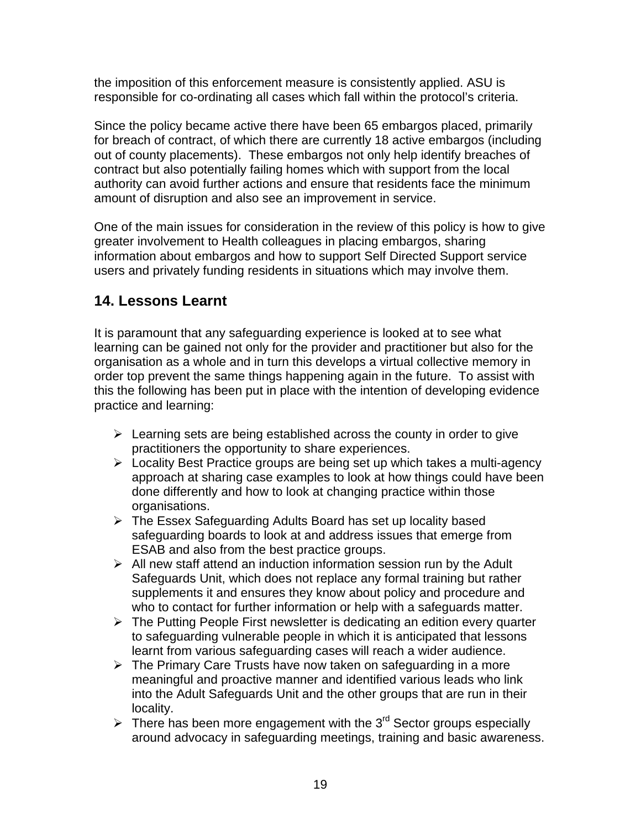the imposition of this enforcement measure is consistently applied. ASU is responsible for co-ordinating all cases which fall within the protocol's criteria.

Since the policy became active there have been 65 embargos placed, primarily for breach of contract, of which there are currently 18 active embargos (including out of county placements). These embargos not only help identify breaches of contract but also potentially failing homes which with support from the local authority can avoid further actions and ensure that residents face the minimum amount of disruption and also see an improvement in service.

One of the main issues for consideration in the review of this policy is how to give greater involvement to Health colleagues in placing embargos, sharing information about embargos and how to support Self Directed Support service users and privately funding residents in situations which may involve them.

## **14. Lessons Learnt**

It is paramount that any safeguarding experience is looked at to see what learning can be gained not only for the provider and practitioner but also for the organisation as a whole and in turn this develops a virtual collective memory in order top prevent the same things happening again in the future. To assist with this the following has been put in place with the intention of developing evidence practice and learning:

- $\triangleright$  Learning sets are being established across the county in order to give practitioners the opportunity to share experiences.
- ¾ Locality Best Practice groups are being set up which takes a multi-agency approach at sharing case examples to look at how things could have been done differently and how to look at changing practice within those organisations.
- $\triangleright$  The Essex Safeguarding Adults Board has set up locality based safeguarding boards to look at and address issues that emerge from ESAB and also from the best practice groups.
- $\triangleright$  All new staff attend an induction information session run by the Adult Safeguards Unit, which does not replace any formal training but rather supplements it and ensures they know about policy and procedure and who to contact for further information or help with a safeguards matter.
- $\triangleright$  The Putting People First newsletter is dedicating an edition every quarter to safeguarding vulnerable people in which it is anticipated that lessons learnt from various safeguarding cases will reach a wider audience.
- $\triangleright$  The Primary Care Trusts have now taken on safeguarding in a more meaningful and proactive manner and identified various leads who link into the Adult Safeguards Unit and the other groups that are run in their locality.
- $\triangleright$  There has been more engagement with the 3<sup>rd</sup> Sector groups especially around advocacy in safeguarding meetings, training and basic awareness.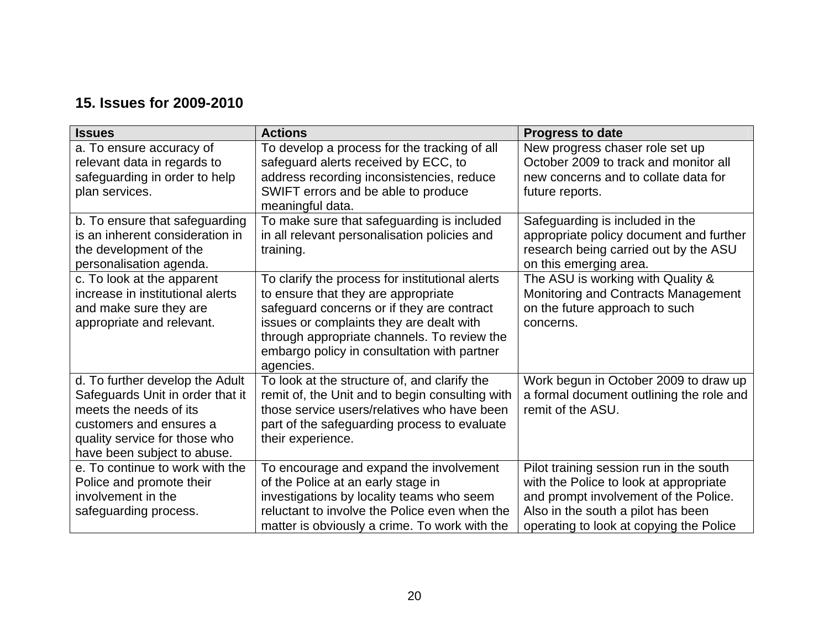#### **15. Issues for 2009-2010**

| <b>Issues</b>                                                                                                                                                                            | <b>Actions</b>                                                                                                                                                                                                                                                                              | <b>Progress to date</b>                                                                                                                                                                                     |
|------------------------------------------------------------------------------------------------------------------------------------------------------------------------------------------|---------------------------------------------------------------------------------------------------------------------------------------------------------------------------------------------------------------------------------------------------------------------------------------------|-------------------------------------------------------------------------------------------------------------------------------------------------------------------------------------------------------------|
| a. To ensure accuracy of<br>relevant data in regards to<br>safeguarding in order to help<br>plan services.                                                                               | To develop a process for the tracking of all<br>safeguard alerts received by ECC, to<br>address recording inconsistencies, reduce<br>SWIFT errors and be able to produce<br>meaningful data.                                                                                                | New progress chaser role set up<br>October 2009 to track and monitor all<br>new concerns and to collate data for<br>future reports.                                                                         |
| b. To ensure that safeguarding<br>is an inherent consideration in<br>the development of the<br>personalisation agenda.                                                                   | To make sure that safeguarding is included<br>in all relevant personalisation policies and<br>training.                                                                                                                                                                                     | Safeguarding is included in the<br>appropriate policy document and further<br>research being carried out by the ASU<br>on this emerging area.                                                               |
| c. To look at the apparent<br>increase in institutional alerts<br>and make sure they are<br>appropriate and relevant.                                                                    | To clarify the process for institutional alerts<br>to ensure that they are appropriate<br>safeguard concerns or if they are contract<br>issues or complaints they are dealt with<br>through appropriate channels. To review the<br>embargo policy in consultation with partner<br>agencies. | The ASU is working with Quality &<br>Monitoring and Contracts Management<br>on the future approach to such<br>concerns.                                                                                     |
| d. To further develop the Adult<br>Safeguards Unit in order that it<br>meets the needs of its<br>customers and ensures a<br>quality service for those who<br>have been subject to abuse. | To look at the structure of, and clarify the<br>remit of, the Unit and to begin consulting with<br>those service users/relatives who have been<br>part of the safeguarding process to evaluate<br>their experience.                                                                         | Work begun in October 2009 to draw up<br>a formal document outlining the role and<br>remit of the ASU.                                                                                                      |
| e. To continue to work with the<br>Police and promote their<br>involvement in the<br>safeguarding process.                                                                               | To encourage and expand the involvement<br>of the Police at an early stage in<br>investigations by locality teams who seem<br>reluctant to involve the Police even when the<br>matter is obviously a crime. To work with the                                                                | Pilot training session run in the south<br>with the Police to look at appropriate<br>and prompt involvement of the Police.<br>Also in the south a pilot has been<br>operating to look at copying the Police |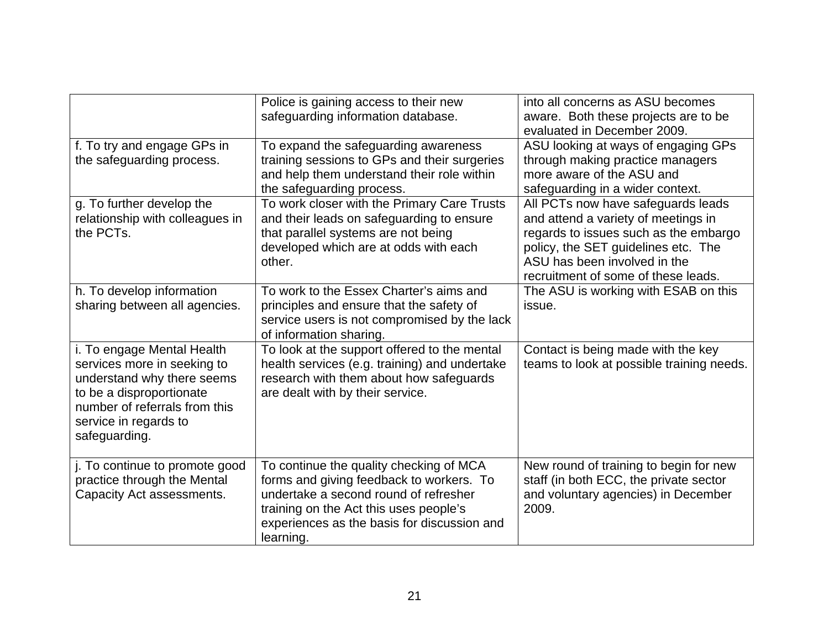|                                                                                                                                                                                                | Police is gaining access to their new<br>safeguarding information database.                                                                                                                                                        | into all concerns as ASU becomes<br>aware. Both these projects are to be<br>evaluated in December 2009.                                                                                                                          |
|------------------------------------------------------------------------------------------------------------------------------------------------------------------------------------------------|------------------------------------------------------------------------------------------------------------------------------------------------------------------------------------------------------------------------------------|----------------------------------------------------------------------------------------------------------------------------------------------------------------------------------------------------------------------------------|
| f. To try and engage GPs in<br>the safeguarding process.                                                                                                                                       | To expand the safeguarding awareness<br>training sessions to GPs and their surgeries<br>and help them understand their role within<br>the safeguarding process.                                                                    | ASU looking at ways of engaging GPs<br>through making practice managers<br>more aware of the ASU and<br>safeguarding in a wider context.                                                                                         |
| g. To further develop the<br>relationship with colleagues in<br>the PCTs.                                                                                                                      | To work closer with the Primary Care Trusts<br>and their leads on safeguarding to ensure<br>that parallel systems are not being<br>developed which are at odds with each<br>other.                                                 | All PCTs now have safeguards leads<br>and attend a variety of meetings in<br>regards to issues such as the embargo<br>policy, the SET guidelines etc. The<br>ASU has been involved in the<br>recruitment of some of these leads. |
| h. To develop information<br>sharing between all agencies.                                                                                                                                     | To work to the Essex Charter's aims and<br>principles and ensure that the safety of<br>service users is not compromised by the lack<br>of information sharing.                                                                     | The ASU is working with ESAB on this<br>issue.                                                                                                                                                                                   |
| i. To engage Mental Health<br>services more in seeking to<br>understand why there seems<br>to be a disproportionate<br>number of referrals from this<br>service in regards to<br>safeguarding. | To look at the support offered to the mental<br>health services (e.g. training) and undertake<br>research with them about how safeguards<br>are dealt with by their service.                                                       | Contact is being made with the key<br>teams to look at possible training needs.                                                                                                                                                  |
| j. To continue to promote good<br>practice through the Mental<br>Capacity Act assessments.                                                                                                     | To continue the quality checking of MCA<br>forms and giving feedback to workers. To<br>undertake a second round of refresher<br>training on the Act this uses people's<br>experiences as the basis for discussion and<br>learning. | New round of training to begin for new<br>staff (in both ECC, the private sector<br>and voluntary agencies) in December<br>2009.                                                                                                 |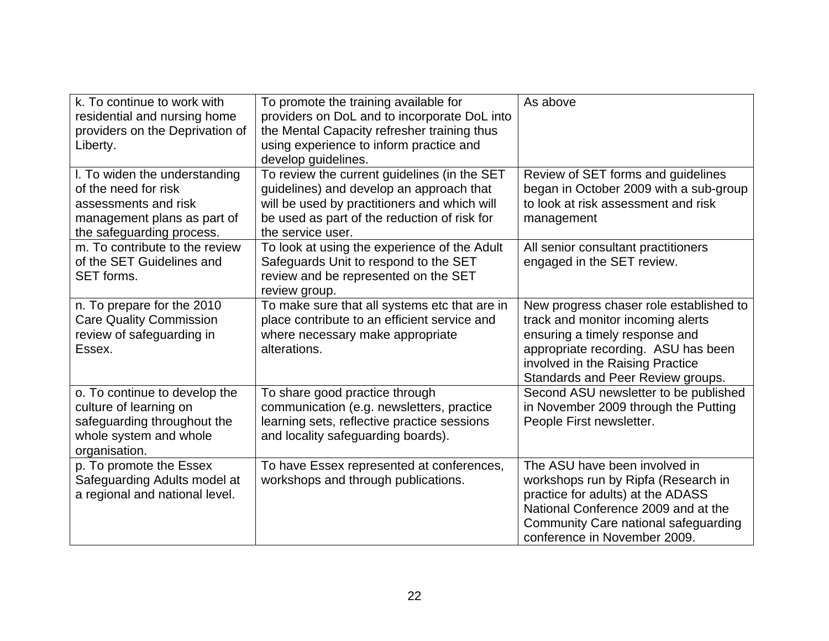| k. To continue to work with<br>residential and nursing home<br>providers on the Deprivation of<br>Liberty.                                | To promote the training available for<br>providers on DoL and to incorporate DoL into<br>the Mental Capacity refresher training thus<br>using experience to inform practice and<br>develop guidelines.        | As above                                                                                                                                                                                                                       |
|-------------------------------------------------------------------------------------------------------------------------------------------|---------------------------------------------------------------------------------------------------------------------------------------------------------------------------------------------------------------|--------------------------------------------------------------------------------------------------------------------------------------------------------------------------------------------------------------------------------|
| I. To widen the understanding<br>of the need for risk<br>assessments and risk<br>management plans as part of<br>the safeguarding process. | To review the current guidelines (in the SET<br>guidelines) and develop an approach that<br>will be used by practitioners and which will<br>be used as part of the reduction of risk for<br>the service user. | Review of SET forms and guidelines<br>began in October 2009 with a sub-group<br>to look at risk assessment and risk<br>management                                                                                              |
| m. To contribute to the review<br>of the SET Guidelines and<br>SET forms.                                                                 | To look at using the experience of the Adult<br>Safeguards Unit to respond to the SET<br>review and be represented on the SET<br>review group.                                                                | All senior consultant practitioners<br>engaged in the SET review.                                                                                                                                                              |
| n. To prepare for the 2010<br><b>Care Quality Commission</b><br>review of safeguarding in<br>Essex.                                       | To make sure that all systems etc that are in<br>place contribute to an efficient service and<br>where necessary make appropriate<br>alterations.                                                             | New progress chaser role established to<br>track and monitor incoming alerts<br>ensuring a timely response and<br>appropriate recording. ASU has been<br>involved in the Raising Practice<br>Standards and Peer Review groups. |
| o. To continue to develop the<br>culture of learning on<br>safeguarding throughout the<br>whole system and whole<br>organisation.         | To share good practice through<br>communication (e.g. newsletters, practice<br>learning sets, reflective practice sessions<br>and locality safeguarding boards).                                              | Second ASU newsletter to be published<br>in November 2009 through the Putting<br>People First newsletter.                                                                                                                      |
| p. To promote the Essex<br>Safeguarding Adults model at<br>a regional and national level.                                                 | To have Essex represented at conferences,<br>workshops and through publications.                                                                                                                              | The ASU have been involved in<br>workshops run by Ripfa (Research in<br>practice for adults) at the ADASS<br>National Conference 2009 and at the<br>Community Care national safeguarding<br>conference in November 2009.       |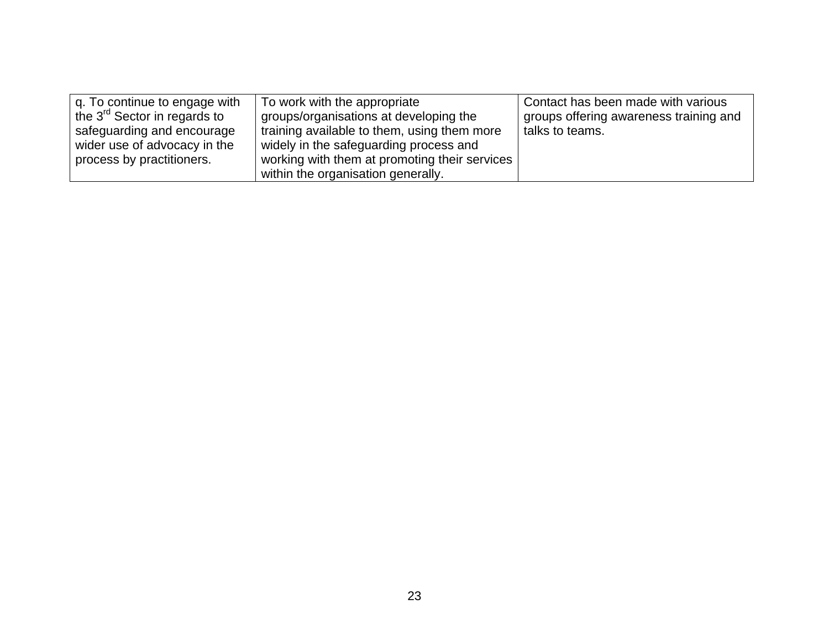| g. To continue to engage with            | To work with the appropriate                  | Contact has been made with various     |
|------------------------------------------|-----------------------------------------------|----------------------------------------|
| the $3^{\text{rd}}$ Sector in regards to | groups/organisations at developing the        | groups offering awareness training and |
| safeguarding and encourage               | training available to them, using them more   | talks to teams.                        |
| wider use of advocacy in the             | widely in the safeguarding process and        |                                        |
| process by practitioners.                | working with them at promoting their services |                                        |
|                                          | within the organisation generally.            |                                        |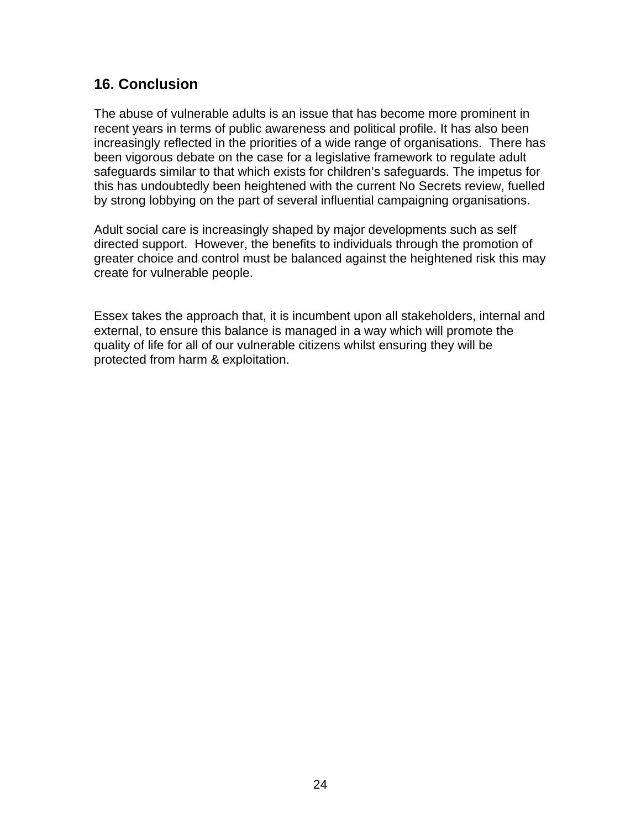#### **16. Conclusion**

The abuse of vulnerable adults is an issue that has become more prominent in recent years in terms of public awareness and political profile. It has also been increasingly reflected in the priorities of a wide range of organisations. There has been vigorous debate on the case for a legislative framework to regulate adult safeguards similar to that which exists for children's safeguards. The impetus for this has undoubtedly been heightened with the current No Secrets review, fuelled by strong lobbying on the part of several influential campaigning organisations.

Adult social care is increasingly shaped by major developments such as self directed support. However, the benefits to individuals through the promotion of greater choice and control must be balanced against the heightened risk this may create for vulnerable people.

Essex takes the approach that, it is incumbent upon all stakeholders, internal and external, to ensure this balance is managed in a way which will promote the quality of life for all of our vulnerable citizens whilst ensuring they will be protected from harm & exploitation.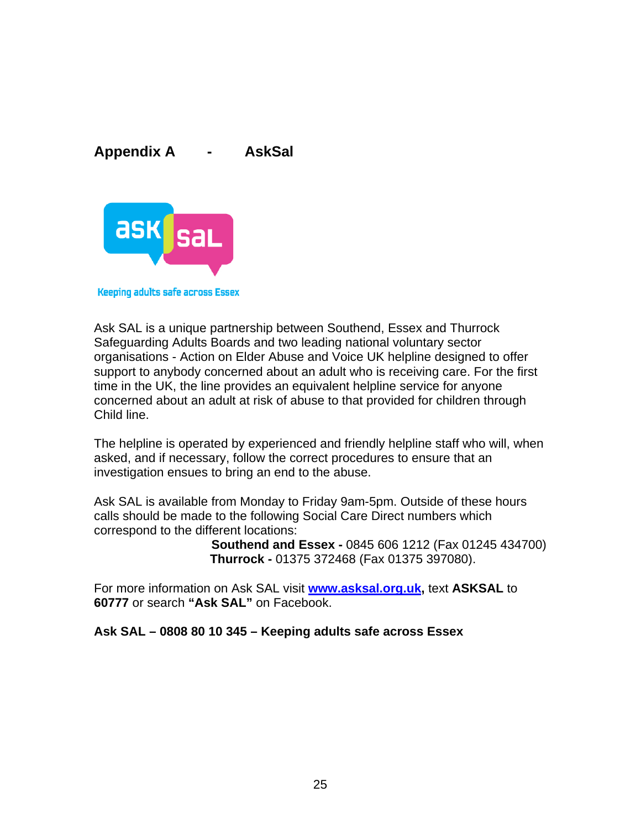

**Keeping adults safe across Essex** 

Ask SAL is a unique partnership between Southend, Essex and Thurrock Safeguarding Adults Boards and two leading national voluntary sector organisations - Action on Elder Abuse and Voice UK helpline designed to offer support to anybody concerned about an adult who is receiving care. For the first time in the UK, the line provides an equivalent helpline service for anyone concerned about an adult at risk of abuse to that provided for children through Child line.

The helpline is operated by experienced and friendly helpline staff who will, when asked, and if necessary, follow the correct procedures to ensure that an investigation ensues to bring an end to the abuse.

Ask SAL is available from Monday to Friday 9am-5pm. Outside of these hours calls should be made to the following Social Care Direct numbers which correspond to the different locations:

> **Southend and Essex -** 0845 606 1212 (Fax 01245 434700)  **Thurrock -** 01375 372468 (Fax 01375 397080).

For more information on Ask SAL visit **[www.asksal.org.uk,](http://www.asksal.org.uk/)** text **ASKSAL** to **60777** or search **"Ask SAL"** on Facebook.

**Ask SAL – 0808 80 10 345 – Keeping adults safe across Essex**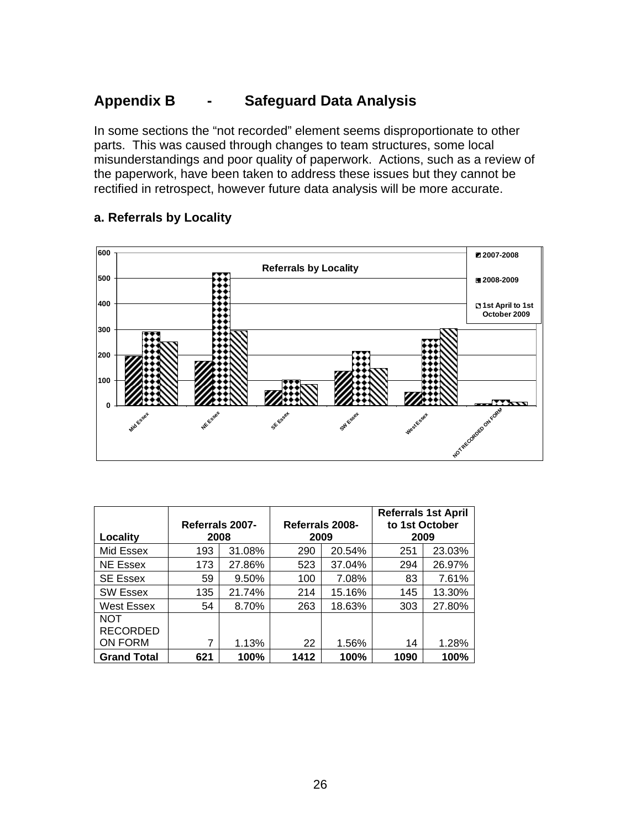## **Appendix B - Safeguard Data Analysis**

In some sections the "not recorded" element seems disproportionate to other parts. This was caused through changes to team structures, some local misunderstandings and poor quality of paperwork. Actions, such as a review of the paperwork, have been taken to address these issues but they cannot be rectified in retrospect, however future data analysis will be more accurate.



#### **a. Referrals by Locality**

| Locality                                        | Referrals 2007-<br>2008 |        | Referrals 2008-<br>2009 |        | <b>Referrals 1st April</b><br>to 1st October<br>2009 |        |
|-------------------------------------------------|-------------------------|--------|-------------------------|--------|------------------------------------------------------|--------|
| Mid Essex                                       | 193                     | 31.08% | 290                     | 20.54% | 251                                                  | 23.03% |
| <b>NE Essex</b>                                 | 173                     | 27.86% | 523                     | 37.04% | 294                                                  | 26.97% |
| <b>SE Essex</b>                                 | 59                      | 9.50%  | 100                     | 7.08%  | 83                                                   | 7.61%  |
| <b>SW Essex</b>                                 | 135                     | 21.74% | 214                     | 15.16% | 145                                                  | 13.30% |
| <b>West Essex</b>                               | 54                      | 8.70%  | 263                     | 18.63% | 303                                                  | 27.80% |
| <b>NOT</b><br><b>RECORDED</b><br><b>ON FORM</b> | 7                       | 1.13%  | 22                      | 1.56%  | 14                                                   | 1.28%  |
| <b>Grand Total</b>                              | 621                     | 100%   | 1412                    | 100%   | 1090                                                 | 100%   |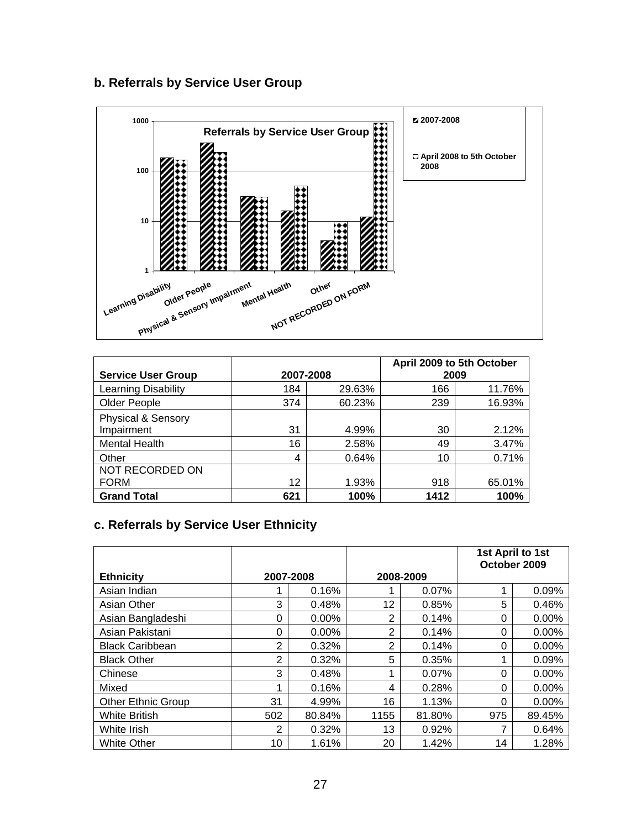### **b. Referrals by Service User Group**



|                               |           |        | April 2009 to 5th October |        |
|-------------------------------|-----------|--------|---------------------------|--------|
| <b>Service User Group</b>     | 2007-2008 |        | 2009                      |        |
| Learning Disability           | 184       | 29.63% | 166                       | 11.76% |
| Older People                  | 374       | 60.23% | 239                       | 16.93% |
| <b>Physical &amp; Sensory</b> |           |        |                           |        |
| Impairment                    | 31        | 4.99%  | 30                        | 2.12%  |
| Mental Health                 | 16        | 2.58%  | 49                        | 3.47%  |
| Other                         | 4         | 0.64%  | 10                        | 0.71%  |
| NOT RECORDED ON               |           |        |                           |        |
| <b>FORM</b>                   | 12        | 1.93%  | 918                       | 65.01% |
| <b>Grand Total</b>            | 621       | 100%   | 1412                      | 100%   |

#### **c. Referrals by Service User Ethnicity**

|                           |     |           |      |           |     | 1st April to 1st<br>October 2009 |
|---------------------------|-----|-----------|------|-----------|-----|----------------------------------|
| <b>Ethnicity</b>          |     | 2007-2008 |      | 2008-2009 |     |                                  |
| Asian Indian              |     | 0.16%     |      | 0.07%     |     | 0.09%                            |
| Asian Other               | 3   | 0.48%     | 12   | 0.85%     | 5   | 0.46%                            |
| Asian Bangladeshi         | 0   | 0.00%     | 2    | 0.14%     | 0   | 0.00%                            |
| Asian Pakistani           | 0   | $0.00\%$  | 2    | 0.14%     | 0   | 0.00%                            |
| <b>Black Caribbean</b>    | 2   | 0.32%     | 2    | 0.14%     | 0   | 0.00%                            |
| <b>Black Other</b>        | 2   | 0.32%     | 5    | 0.35%     |     | 0.09%                            |
| Chinese                   | 3   | 0.48%     |      | 0.07%     | 0   | 0.00%                            |
| Mixed                     |     | 0.16%     | 4    | 0.28%     | 0   | 0.00%                            |
| <b>Other Ethnic Group</b> | 31  | 4.99%     | 16   | 1.13%     | 0   | 0.00%                            |
| <b>White British</b>      | 502 | 80.84%    | 1155 | 81.80%    | 975 | 89.45%                           |
| White Irish               | 2   | 0.32%     | 13   | 0.92%     | 7   | 0.64%                            |
| <b>White Other</b>        | 10  | 1.61%     | 20   | 1.42%     | 14  | 1.28%                            |